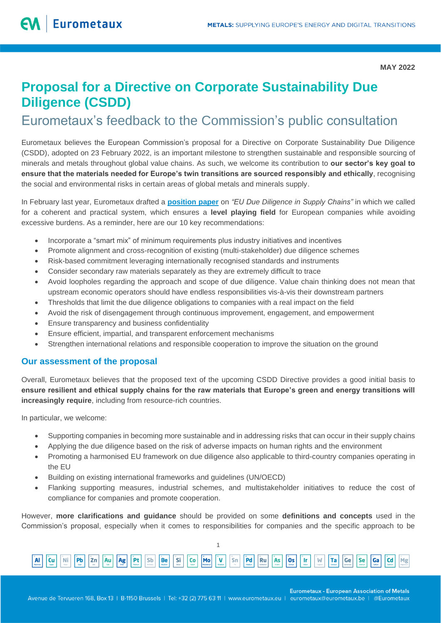# **Proposal for a Directive on Corporate Sustainability Due Diligence (CSDD)**

## Eurometaux's feedback to the Commission's public consultation

Eurometaux believes the European Commission's proposal for a Directive on Corporate Sustainability Due Diligence (CSDD), adopted on 23 February 2022, is an important milestone to strengthen sustainable and responsible sourcing of minerals and metals throughout global value chains. As such, we welcome its contribution to **our sector's key goal to ensure that the materials needed for Europe's twin transitions are sourced responsibly and ethically**, recognising the social and environmental risks in certain areas of global metals and minerals supply.

In February last year, Eurometaux drafted a **[position paper](https://eurometaux.eu/media/kgqe3i3c/2021-02-10-em_dd_position_paper_10022021_final.pdf)** on *"EU Due Diligence in Supply Chains"* in which we called for a coherent and practical system, which ensures a **level playing field** for European companies while avoiding excessive burdens. As a reminder, here are our 10 key recommendations:

- Incorporate a "smart mix" of minimum requirements plus industry initiatives and incentives
- Promote alignment and cross-recognition of existing (multi-stakeholder) due diligence schemes
- Risk-based commitment leveraging internationally recognised standards and instruments
- Consider secondary raw materials separately as they are extremely difficult to trace
- Avoid loopholes regarding the approach and scope of due diligence. Value chain thinking does not mean that upstream economic operators should have endless responsibilities vis-à-vis their downstream partners
- Thresholds that limit the due diligence obligations to companies with a real impact on the field
- Avoid the risk of disengagement through continuous improvement, engagement, and empowerment
- Ensure transparency and business confidentiality
- Ensure efficient, impartial, and transparent enforcement mechanisms
- Strengthen international relations and responsible cooperation to improve the situation on the ground

### **Our assessment of the proposal**

Overall, Eurometaux believes that the proposed text of the upcoming CSDD Directive provides a good initial basis to **ensure resilient and ethical supply chains for the raw materials that Europe's green and energy transitions will increasingly require**, including from resource-rich countries.

In particular, we welcome:

- Supporting companies in becoming more sustainable and in addressing risks that can occur in their supply chains
- Applying the due diligence based on the risk of adverse impacts on human rights and the environment
- Promoting a harmonised EU framework on due diligence also applicable to third-country companies operating in the EU
- Building on existing international frameworks and guidelines (UN/OECD)
- Flanking supporting measures, industrial schemes, and multistakeholder initiatives to reduce the cost of compliance for companies and promote cooperation.

However, **more clarifications and guidance** should be provided on some **definitions and concepts** used in the Commission's proposal, especially when it comes to responsibilities for companies and the specific approach to be



1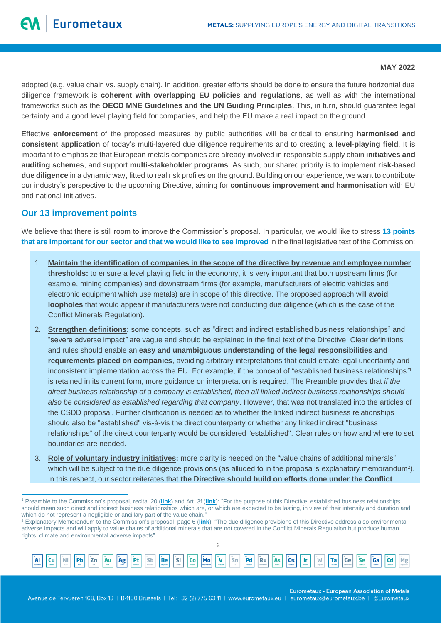adopted (e.g. value chain vs. supply chain). In addition, greater efforts should be done to ensure the future horizontal due diligence framework is **coherent with overlapping EU policies and regulations**, as well as with the international frameworks such as the **OECD MNE Guidelines and the UN Guiding Principles**. This, in turn, should guarantee legal certainty and a good level playing field for companies, and help the EU make a real impact on the ground.

Effective **enforcement** of the proposed measures by public authorities will be critical to ensuring **harmonised and consistent application** of today's multi-layered due diligence requirements and to creating a **level-playing field**. It is important to emphasize that European metals companies are already involved in responsible supply chain **initiatives and auditing schemes**, and support **multi-stakeholder programs**. As such, our shared priority is to implement **risk-based due diligence** in a dynamic way, fitted to real risk profiles on the ground. Building on our experience, we want to contribute our industry's perspective to the upcoming Directive, aiming for **continuous improvement and harmonisation** with EU and national initiatives.

#### **Our 13 improvement points**

We believe that there is still room to improve the Commission's proposal. In particular, we would like to stress **13 points that are important for our sector and that we would like to see improved** in the final legislative text of the Commission:

- 1. **Maintain the identification of companies in the scope of the directive by revenue and employee number thresholds:** to ensure a level playing field in the economy, it is very important that both upstream firms (for example, mining companies) and downstream firms (for example, manufacturers of electric vehicles and electronic equipment which use metals) are in scope of this directive. The proposed approach will **avoid loopholes** that would appear if manufacturers were not conducting due diligence (which is the case of the Conflict Minerals Regulation).
- 2. **Strengthen definitions:** some concepts, such as "direct and indirect established business relationships" and "severe adverse impact*"* are vague and should be explained in the final text of the Directive. Clear definitions and rules should enable an **easy and unambiguous understanding of the legal responsibilities and requirements placed on companies**, avoiding arbitrary interpretations that could create legal uncertainty and inconsistent implementation across the EU. For example, if the concept of "established business relationships*"* 1 is retained in its current form, more guidance on interpretation is required. The Preamble provides that *if the direct business relationship of a company is established, then all linked indirect business relationships should also be considered as established regarding that company*. However, that was not translated into the articles of the CSDD proposal. Further clarification is needed as to whether the linked indirect business relationships should also be "established" vis-à-vis the direct counterparty or whether any linked indirect "business relationships" of the direct counterparty would be considered "established". Clear rules on how and where to set boundaries are needed.
- 3. **Role of voluntary industry initiatives:** more clarity is needed on the "value chains of additional minerals" which will be subject to the due diligence provisions (as alluded to in the proposal's explanatory memorandum<sup>2</sup>). In this respect, our sector reiterates that **the Directive should build on efforts done under the Conflict**

Be Si Co Mo  $\mathfrak{D}$ 

V

Sn Pd **Ru** As **Os** 



**Eurometaux - European Association of Metals** 

Cd Mg

<sup>1</sup> Preamble to the Commission's proposal, recital 20 (**[link](https://eur-lex.europa.eu/resource.html?uri=cellar:bc4dcea4-9584-11ec-b4e4-01aa75ed71a1.0001.02/DOC_1&format=PDF#page=34)**) and Art. 3f (**[link](https://eur-lex.europa.eu/resource.html?uri=cellar:bc4dcea4-9584-11ec-b4e4-01aa75ed71a1.0001.02/DOC_1&format=PDF#page=52)**): "For the purpose of this Directive, established business relationships should mean such direct and indirect business relationships which are, or which are expected to be lasting, in view of their intensity and duration and which do not represent a negligible or ancillary part of the value chain.'

<sup>2</sup> Explanatory Memorandum to the Commission's proposal, page 6 (**[link](https://eur-lex.europa.eu/resource.html?uri=cellar:bc4dcea4-9584-11ec-b4e4-01aa75ed71a1.0001.02/DOC_1&format=PDF#page=7)**): "The due diligence provisions of this Directive address also environmental adverse impacts and will apply to value chains of additional minerals that are not covered in the Conflict Minerals Regulation but produce human rights, climate and environmental adverse impacts"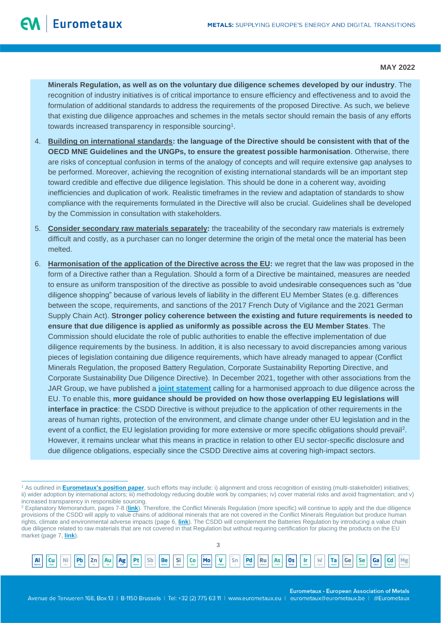**Minerals Regulation, as well as on the voluntary due diligence schemes developed by our industry**. The recognition of industry initiatives is of critical importance to ensure efficiency and effectiveness and to avoid the formulation of additional standards to address the requirements of the proposed Directive. As such, we believe that existing due diligence approaches and schemes in the metals sector should remain the basis of any efforts towards increased transparency in responsible sourcing<sup>1</sup>.

- 4. **Building on international standards: the language of the Directive should be consistent with that of the OECD MNE Guidelines and the UNGPs, to ensure the greatest possible harmonisation**. Otherwise, there are risks of conceptual confusion in terms of the analogy of concepts and will require extensive gap analyses to be performed. Moreover, achieving the recognition of existing international standards will be an important step toward credible and effective due diligence legislation. This should be done in a coherent way, avoiding inefficiencies and duplication of work. Realistic timeframes in the review and adaptation of standards to show compliance with the requirements formulated in the Directive will also be crucial. Guidelines shall be developed by the Commission in consultation with stakeholders.
- 5. **Consider secondary raw materials separately:** the traceability of the secondary raw materials is extremely difficult and costly, as a purchaser can no longer determine the origin of the metal once the material has been melted.
- 6. **Harmonisation of the application of the Directive across the EU:** we regret that the law was proposed in the form of a Directive rather than a Regulation. Should a form of a Directive be maintained, measures are needed to ensure as uniform transposition of the directive as possible to avoid undesirable consequences such as "due diligence shopping" because of various levels of liability in the different EU Member States (e.g. differences between the scope, requirements, and sanctions of the 2017 French Duty of Vigilance and the 2021 German Supply Chain Act). **Stronger policy coherence between the existing and future requirements is needed to ensure that due diligence is applied as uniformly as possible across the EU Member States**. The Commission should elucidate the role of public authorities to enable the effective implementation of due diligence requirements by the business. In addition, it is also necessary to avoid discrepancies among various pieces of legislation containing due diligence requirements, which have already managed to appear (Conflict Minerals Regulation, the proposed Battery Regulation, Corporate Sustainability Reporting Directive, and Corporate Sustainability Due Diligence Directive). In December 2021, together with other associations from the JAR Group, we have published a **[joint statement](http://www.amchameu.eu/system/files/position_papers/statement_harmonisation_of_due_diligence_frameworks.pdf)** calling for a harmonised approach to due diligence across the EU. To enable this, **more guidance should be provided on how those overlapping EU legislations will interface in practice**: the CSDD Directive is without prejudice to the application of other requirements in the areas of human rights, protection of the environment, and climate change under other EU legislation and in the event of a conflict, the EU legislation providing for more extensive or more specific obligations should prevail<sup>2</sup>. However, it remains unclear what this means in practice in relation to other EU sector-specific disclosure and due diligence obligations, especially since the CSDD Directive aims at covering high-impact sectors.

3

V

Sn Pd Ru As **Os** 



Sb Be Si Co Mo

**Eurometaux - European Association of Metals** 

Cd

Mg

<sup>&</sup>lt;sup>1</sup> As outlined in **[Eurometaux's position paper](https://eurometaux.eu/media/kgqe3i3c/2021-02-10-em_dd_position_paper_10022021_final.pdf)**, such efforts may include: i) alignment and cross recognition of existing (multi-stakeholder) initiatives; ii) wider adoption by international actors; iii) methodology reducing double work by companies; iv) cover material risks and avoid fragmentation; and v) increased transparency in responsible sourcing.

<sup>2</sup> Explanatory Memorandum, pages 7-8 (**[link](https://eur-lex.europa.eu/resource.html?uri=cellar:bc4dcea4-9584-11ec-b4e4-01aa75ed71a1.0001.02/DOC_1&format=PDF#page=8)**). Therefore, the Conflict Minerals Regulation (more specific) will continue to apply and the due diligence provisions of the CSDD will apply to value chains of additional minerals that are not covered in the Conflict Minerals Regulation but produce human rights, climate and environmental adverse impacts (page 6, **[link](https://eur-lex.europa.eu/resource.html?uri=cellar:bc4dcea4-9584-11ec-b4e4-01aa75ed71a1.0001.02/DOC_1&format=PDF#page=7)**). The CSDD will complement the Batteries Regulation by introducing a value chain due diligence related to raw materials that are not covered in that Regulation but without requiring certification for placing the products on the EU market (page 7, **[link](https://eur-lex.europa.eu/resource.html?uri=cellar:bc4dcea4-9584-11ec-b4e4-01aa75ed71a1.0001.02/DOC_1&format=PDF#page=8)**).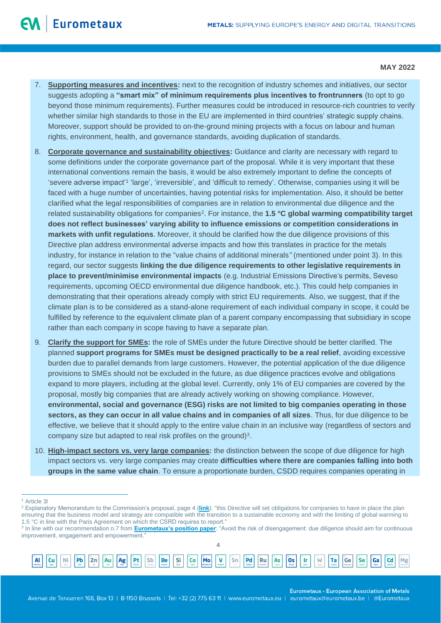- 7. **Supporting measures and incentives:** next to the recognition of industry schemes and initiatives, our sector suggests adopting a **"smart mix" of minimum requirements plus incentives to frontrunners** (to opt to go beyond those minimum requirements). Further measures could be introduced in resource-rich countries to verify whether similar high standards to those in the EU are implemented in third countries' strategic supply chains. Moreover, support should be provided to on-the-ground mining projects with a focus on labour and human rights, environment, health, and governance standards, avoiding duplication of standards.
- 8. **Corporate governance and sustainability objectives:** Guidance and clarity are necessary with regard to some definitions under the corporate governance part of the proposal. While it is very important that these international conventions remain the basis, it would be also extremely important to define the concepts of 'severe adverse impact'<sup>1</sup> 'large', 'irreversible', and 'difficult to remedy'. Otherwise, companies using it will be faced with a huge number of uncertainties, having potential risks for implementation. Also, it should be better clarified what the legal responsibilities of companies are in relation to environmental due diligence and the related sustainability obligations for companies<sup>2</sup>. For instance, the **1.5 °C global warming compatibility target does not reflect businesses' varying ability to influence emissions or competition considerations in markets with unfit regulations**. Moreover, it should be clarified how the due diligence provisions of this Directive plan address environmental adverse impacts and how this translates in practice for the metals industry, for instance in relation to the "value chains of additional minerals*"* (mentioned under point 3). In this regard, our sector suggests **linking the due diligence requirements to other legislative requirements in place to prevent/minimise environmental impacts** (e.g. Industrial Emissions Directive's permits, Seveso requirements, upcoming OECD environmental due diligence handbook, etc.). This could help companies in demonstrating that their operations already comply with strict EU requirements. Also, we suggest, that if the climate plan is to be considered as a stand-alone requirement of each individual company in scope, it could be fulfilled by reference to the equivalent climate plan of a parent company encompassing that subsidiary in scope rather than each company in scope having to have a separate plan.
- 9. **Clarify the support for SMEs:** the role of SMEs under the future Directive should be better clarified. The planned **support programs for SMEs must be designed practically to be a real relief**, avoiding excessive burden due to parallel demands from large customers. However, the potential application of the due diligence provisions to SMEs should not be excluded in the future, as due diligence practices evolve and obligations expand to more players, including at the global level. Currently, only 1% of EU companies are covered by the proposal, mostly big companies that are already actively working on showing compliance. However, **environmental, social and governance (ESG) risks are not limited to big companies operating in those sectors, as they can occur in all value chains and in companies of all sizes**. Thus, for due diligence to be effective, we believe that it should apply to the entire value chain in an inclusive way (regardless of sectors and company size but adapted to real risk profiles on the ground)<sup>3</sup>.
- 10. **High-impact sectors vs. very large companies:** the distinction between the scope of due diligence for high impact sectors vs. very large companies may create **difficulties where there are companies falling into both groups in the same value chain**. To ensure a proportionate burden, CSDD requires companies operating in

<sup>4</sup> 3 In line with our recommendation n.7 from **[Eurometaux's position paper](https://eurometaux.eu/media/kgqe3i3c/2021-02-10-em_dd_position_paper_10022021_final.pdf)**: "Avoid the risk of disengagement: due diligence should aim for continuous improvement, engagement and empowerment.

|  |  |  |  |  |  |  |  | $\underbrace{[\mathbf{A}\mathbf{I}]} \begin{bmatrix} \mathbf{C}\mathbf{U} \end{bmatrix} \begin{bmatrix} \mathbf{N}\mathbf{I} \end{bmatrix} \begin{bmatrix} \mathbf{P}\mathbf{D} \end{bmatrix} \begin{bmatrix} \mathbf{Z}\mathbf{n} \end{bmatrix} \begin{bmatrix} \mathbf{A}\mathbf{u} \end{bmatrix} \begin{bmatrix} \mathbf{A}\mathbf{g} \end{bmatrix} \begin{bmatrix} \mathbf{P}\mathbf{t} \end{bmatrix} \begin{bmatrix} \mathbf{S}\mathbf{b} \end{bmatrix} \begin{bmatrix} \mathbf{B}\mathbf{e} \end{b$ |  |
|--|--|--|--|--|--|--|--|-----------------------------------------------------------------------------------------------------------------------------------------------------------------------------------------------------------------------------------------------------------------------------------------------------------------------------------------------------------------------------------------------------------------------------------------------------------------------------------------------------------|--|
|  |  |  |  |  |  |  |  |                                                                                                                                                                                                                                                                                                                                                                                                                                                                                                           |  |

**Eurometaux - European Association of Metals** 

Ge

Cd Mg

Os

<sup>1</sup> Article 3l

<sup>&</sup>lt;sup>2</sup> Explanatory Memorandum to the Commission's proposal, page 4 ([link](https://eur-lex.europa.eu/resource.html?uri=cellar:bc4dcea4-9584-11ec-b4e4-01aa75ed71a1.0001.02/DOC_1&format=PDF#page=5)): "this Directive will set obligations for companies to have in place the plan ensuring that the business model and strategy are compatible with the transition to a sustainable economy and with the limiting of global warming to 1.5 °C in line with the Paris Agreement on which the CSRD requires to report."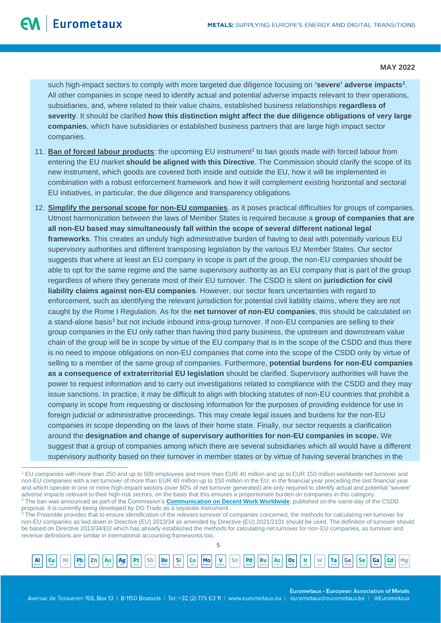such high-impact sectors to comply with more targeted due diligence focusing on **'severe' adverse impacts<sup>1</sup>** . All other companies in scope need to identify actual and potential adverse impacts relevant to their operations, subsidiaries, and, where related to their value chains, established business relationships **regardless of severity**. It should be clarified **how this distinction might affect the due diligence obligations of very large companies**, which have subsidiaries or established business partners that are large high impact sector companies.

- 11. **Ban of forced labour products**: the upcoming EU instrument<sup>2</sup> to ban goods made with forced labour from entering the EU market **should be aligned with this Directive**. The Commission should clarify the scope of its new instrument, which goods are covered both inside and outside the EU, how it will be implemented in combination with a robust enforcement framework and how it will complement existing horizontal and sectoral EU initiatives, in particular, the due diligence and transparency obligations.
- 12. **Simplify the personal scope for non-EU companies**, as it poses practical difficulties for groups of companies. Utmost harmonization between the laws of Member States is required because a **group of companies that are all non-EU based may simultaneously fall within the scope of several different national legal frameworks**. This creates an unduly high administrative burden of having to deal with potentially various EU supervisory authorities and different transposing legislation by the various EU Member States. Our sector suggests that where at least an EU company in scope is part of the group, the non-EU companies should be able to opt for the same regime and the same supervisory authority as an EU company that is part of the group regardless of where they generate most of their EU turnover. The CSDD is silent on **jurisdiction for civil liability claims against non-EU companies**. However, our sector fears uncertainties with regard to enforcement, such as identifying the relevant jurisdiction for potential civil liability claims, where they are not caught by the Rome I Regulation. As for the **net turnover of non-EU companies**, this should be calculated on a stand-alone basis<sup>3</sup> but not include inbound intra-group turnover. If non-EU companies are selling to their group companies in the EU only rather than having third party business, the upstream and downstream value chain of the group will be in scope by virtue of the EU company that is in the scope of the CSDD and thus there is no need to impose obligations on non-EU companies that come into the scope of the CSDD only by virtue of selling to a member of the same group of companies. Furthermore, **potential burdens for non-EU companies as a consequence of extraterritorial EU legislation** should be clarified. Supervisory authorities will have the power to request information and to carry out investigations related to compliance with the CSDD and they may issue sanctions. In practice, it may be difficult to align with blocking statutes of non-EU countries that prohibit a company in scope from requesting or disclosing information for the purposes of providing evidence for use in foreign judicial or administrative proceedings. This may create legal issues and burdens for the non-EU companies in scope depending on the laws of their home state. Finally, our sector requests a clarification around the **designation and change of supervisory authorities for non-EU companies in scope.** We suggest that a group of companies among which there are several subsidiaries which all would have a different supervisory authority based on their turnover in member states or by virtue of having several branches in the

5



**Eurometaux - European Association of Metals** 

<sup>1</sup> EU companies with more than 250 and up to 500 employees and more than EUR 40 million and up to EUR 150 million worldwide net turnover and non-EU companies with a net turnover of more than EUR 40 million up to 150 million in the EU, in the financial year preceding the last financial year and which operate in one or more high-impact sectors (over 50% of net turnover generated) are only required to identify actual and potential "severe" adverse impacts relevant to their high-risk sectors, on the basis that this ensures a proportionate burden on companies in this category. <sup>2</sup> The ban was announced as part of the Commission's **[Communication on Decent Work Worldwide](https://ec.europa.eu/commission/presscorner/detail/en/ip_22_1187)**, published on the same day of the CSDD proposal. It is currently being developed by DG Trade as a separate instrument.

<sup>&</sup>lt;sup>3</sup> The Preamble provides that to ensure identification of the relevant turnover of companies concerned, the methods for calculating net turnover for non-EU companies as laid down in Directive (EU) 2013/34 as amended by Directive (EU) 2021/2101 should be used. The definition of turnover should be based on Directive 2013/34/EU which has already established the methods for calculating net turnover for non-EU companies, as turnover and revenue definitions are similar in international accounting frameworks too.